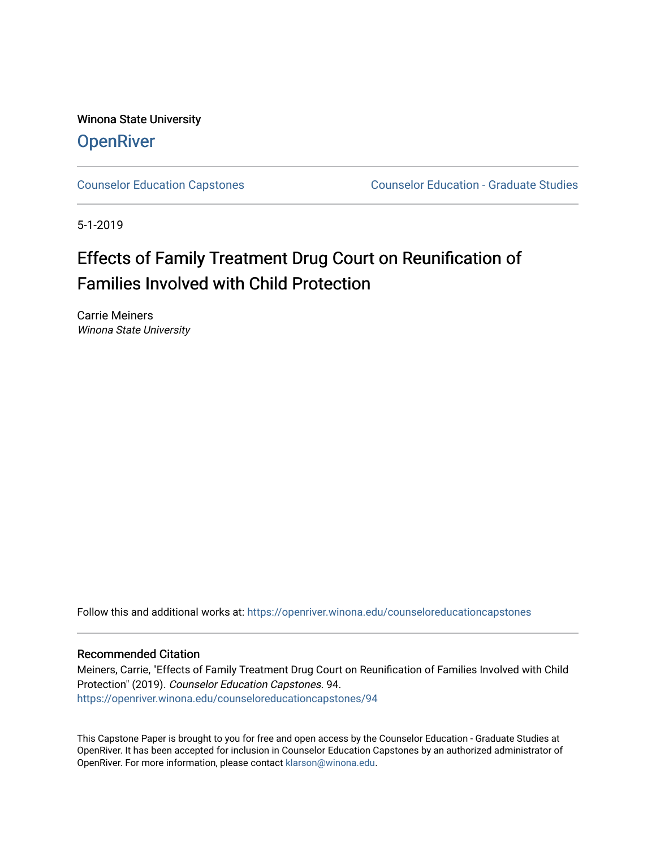Winona State University **OpenRiver** 

[Counselor Education Capstones](https://openriver.winona.edu/counseloreducationcapstones) [Counselor Education - Graduate Studies](https://openriver.winona.edu/counseloreducation) 

5-1-2019

# Effects of Family Treatment Drug Court on Reunification of Families Involved with Child Protection

Carrie Meiners Winona State University

Follow this and additional works at: [https://openriver.winona.edu/counseloreducationcapstones](https://openriver.winona.edu/counseloreducationcapstones?utm_source=openriver.winona.edu%2Fcounseloreducationcapstones%2F94&utm_medium=PDF&utm_campaign=PDFCoverPages)

#### Recommended Citation

Meiners, Carrie, "Effects of Family Treatment Drug Court on Reunification of Families Involved with Child Protection" (2019). Counselor Education Capstones. 94. [https://openriver.winona.edu/counseloreducationcapstones/94](https://openriver.winona.edu/counseloreducationcapstones/94?utm_source=openriver.winona.edu%2Fcounseloreducationcapstones%2F94&utm_medium=PDF&utm_campaign=PDFCoverPages) 

This Capstone Paper is brought to you for free and open access by the Counselor Education - Graduate Studies at OpenRiver. It has been accepted for inclusion in Counselor Education Capstones by an authorized administrator of OpenRiver. For more information, please contact [klarson@winona.edu](mailto:klarson@winona.edu).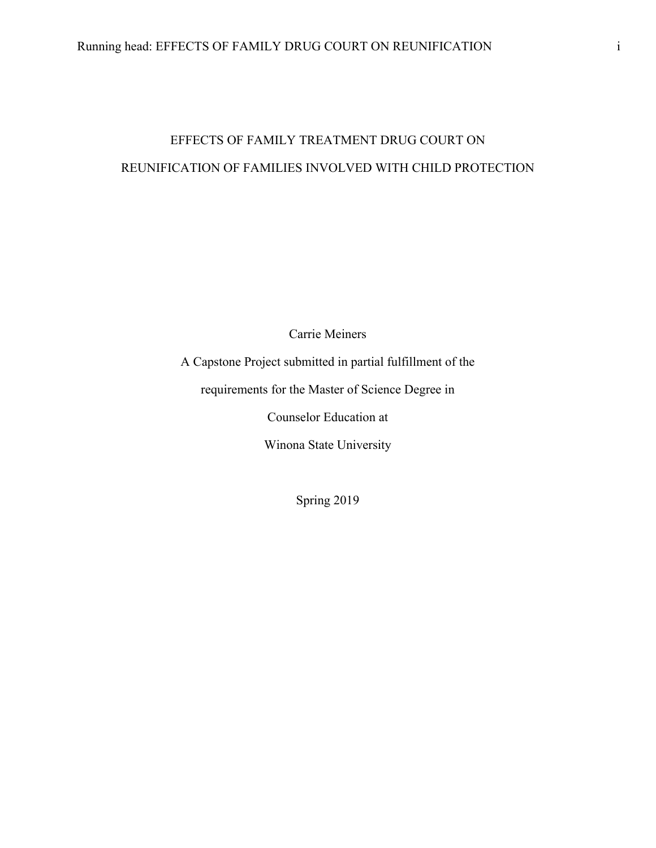# EFFECTS OF FAMILY TREATMENT DRUG COURT ON REUNIFICATION OF FAMILIES INVOLVED WITH CHILD PROTECTION

Carrie Meiners

A Capstone Project submitted in partial fulfillment of the

requirements for the Master of Science Degree in

Counselor Education at

Winona State University

Spring 2019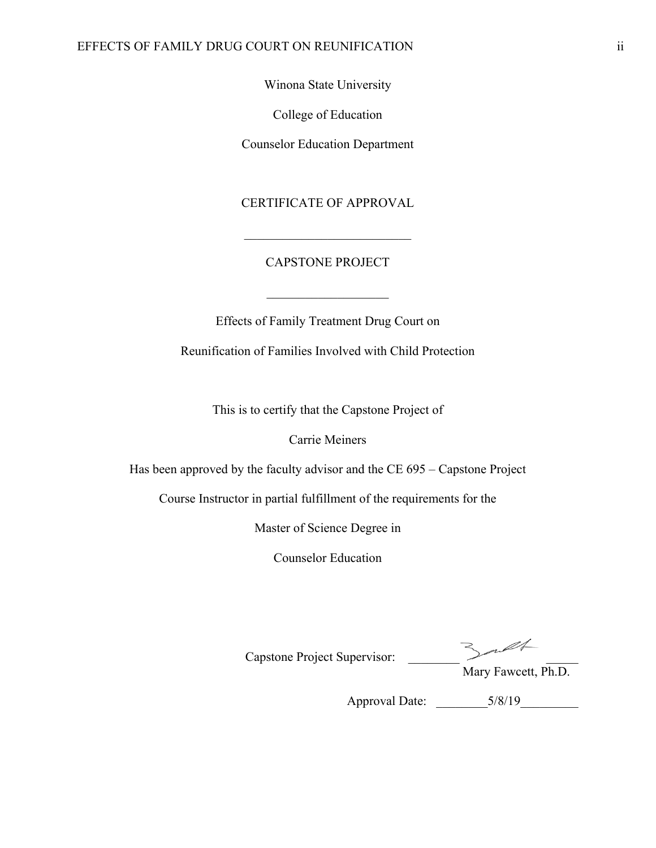#### EFFECTS OF FAMILY DRUG COURT ON REUNIFICATION ii

Winona State University

College of Education

Counselor Education Department

### CERTIFICATE OF APPROVAL

## CAPSTONE PROJECT

Effects of Family Treatment Drug Court on

Reunification of Families Involved with Child Protection

This is to certify that the Capstone Project of

Carrie Meiners

Has been approved by the faculty advisor and the CE 695 – Capstone Project

Course Instructor in partial fulfillment of the requirements for the

Master of Science Degree in

Counselor Education

Capstone Project Supervisor:

Mary Fawcett, Ph.D.

Approval Date: \_\_\_\_\_\_\_\_5/8/19\_\_\_\_\_\_\_\_\_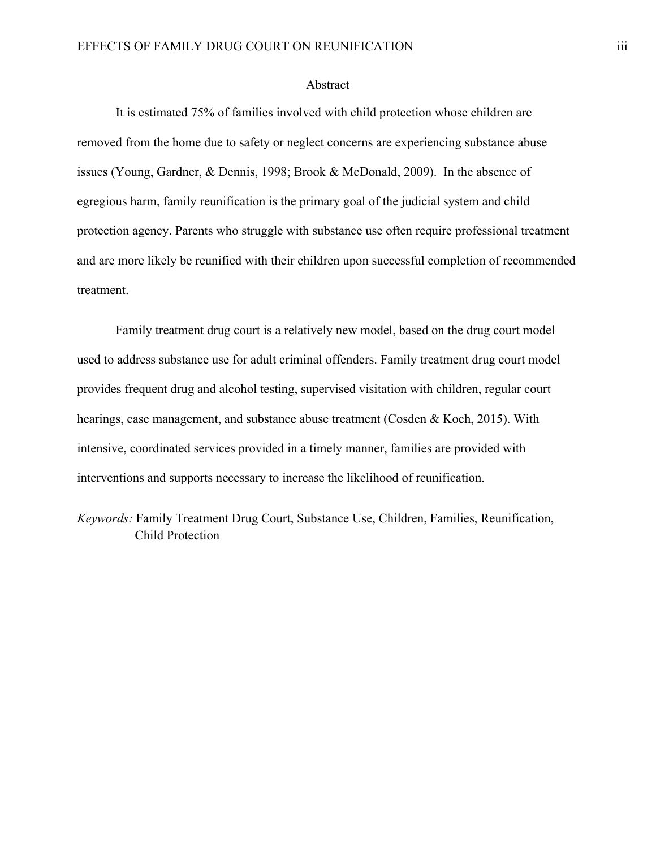#### Abstract

It is estimated 75% of families involved with child protection whose children are removed from the home due to safety or neglect concerns are experiencing substance abuse issues (Young, Gardner, & Dennis, 1998; Brook & McDonald, 2009). In the absence of egregious harm, family reunification is the primary goal of the judicial system and child protection agency. Parents who struggle with substance use often require professional treatment and are more likely be reunified with their children upon successful completion of recommended treatment.

Family treatment drug court is a relatively new model, based on the drug court model used to address substance use for adult criminal offenders. Family treatment drug court model provides frequent drug and alcohol testing, supervised visitation with children, regular court hearings, case management, and substance abuse treatment (Cosden & Koch, 2015). With intensive, coordinated services provided in a timely manner, families are provided with interventions and supports necessary to increase the likelihood of reunification.

*Keywords:* Family Treatment Drug Court, Substance Use, Children, Families, Reunification, Child Protection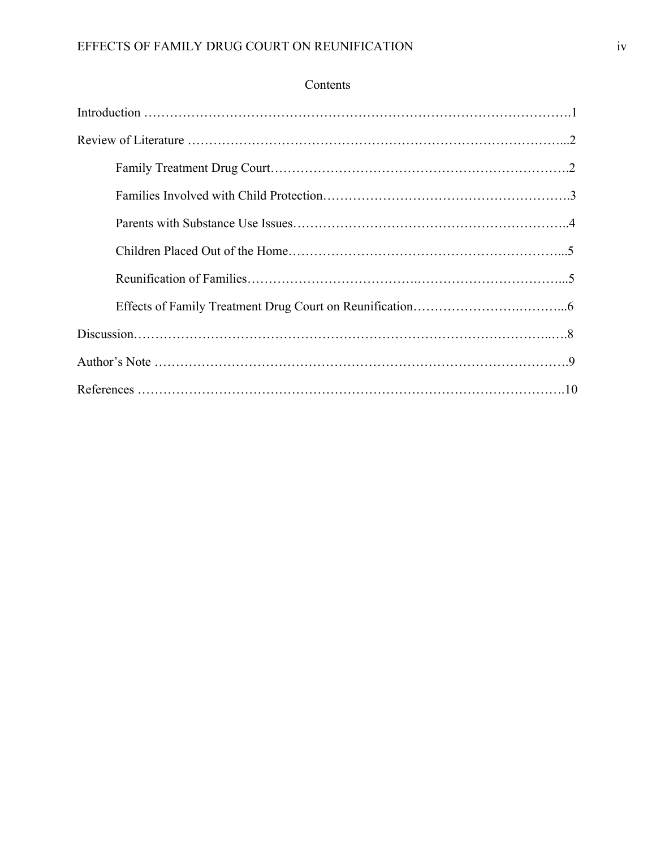# Contents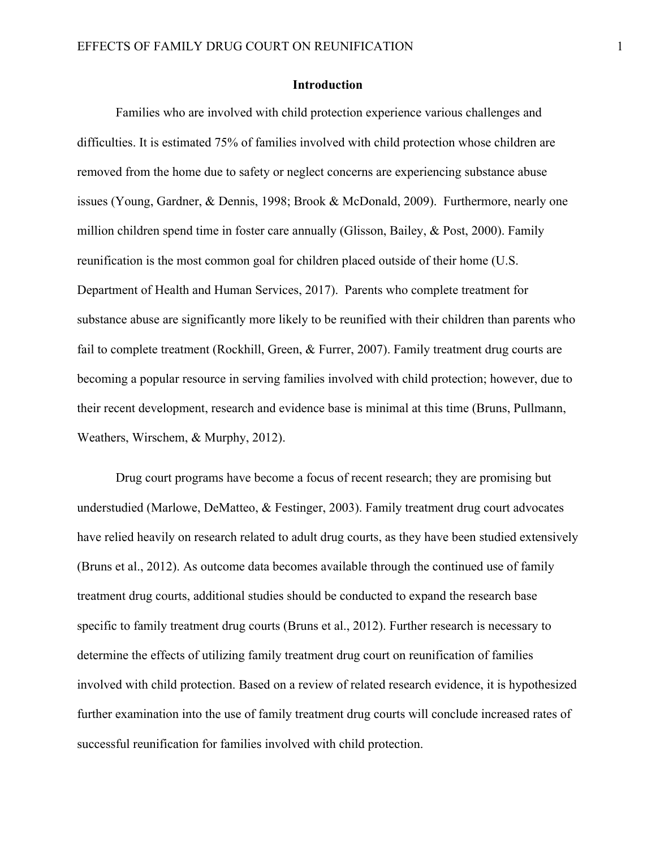#### **Introduction**

Families who are involved with child protection experience various challenges and difficulties. It is estimated 75% of families involved with child protection whose children are removed from the home due to safety or neglect concerns are experiencing substance abuse issues (Young, Gardner, & Dennis, 1998; Brook & McDonald, 2009). Furthermore, nearly one million children spend time in foster care annually (Glisson, Bailey, & Post, 2000). Family reunification is the most common goal for children placed outside of their home (U.S. Department of Health and Human Services, 2017). Parents who complete treatment for substance abuse are significantly more likely to be reunified with their children than parents who fail to complete treatment (Rockhill, Green, & Furrer, 2007). Family treatment drug courts are becoming a popular resource in serving families involved with child protection; however, due to their recent development, research and evidence base is minimal at this time (Bruns, Pullmann, Weathers, Wirschem, & Murphy, 2012).

Drug court programs have become a focus of recent research; they are promising but understudied (Marlowe, DeMatteo, & Festinger, 2003). Family treatment drug court advocates have relied heavily on research related to adult drug courts, as they have been studied extensively (Bruns et al., 2012). As outcome data becomes available through the continued use of family treatment drug courts, additional studies should be conducted to expand the research base specific to family treatment drug courts (Bruns et al., 2012). Further research is necessary to determine the effects of utilizing family treatment drug court on reunification of families involved with child protection. Based on a review of related research evidence, it is hypothesized further examination into the use of family treatment drug courts will conclude increased rates of successful reunification for families involved with child protection.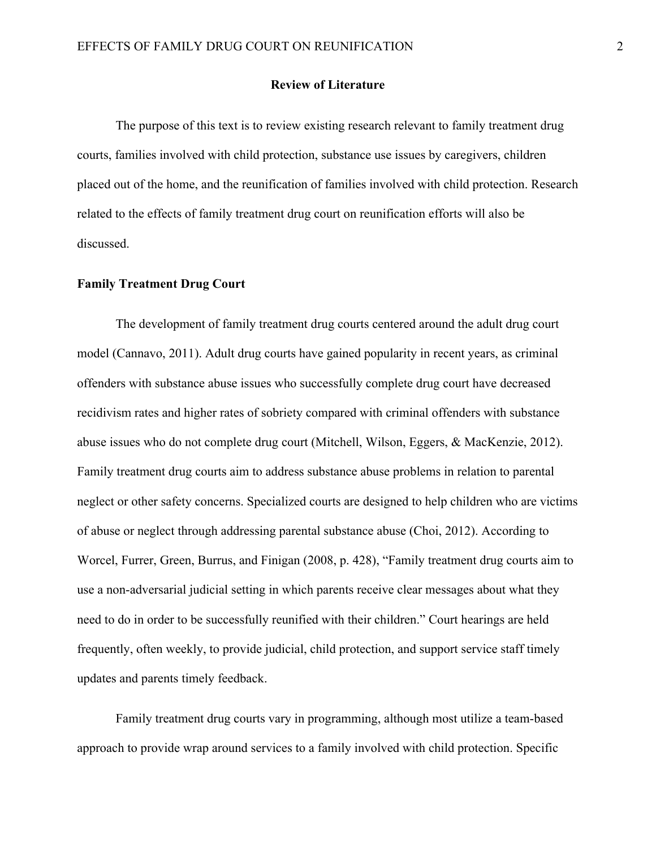#### **Review of Literature**

The purpose of this text is to review existing research relevant to family treatment drug courts, families involved with child protection, substance use issues by caregivers, children placed out of the home, and the reunification of families involved with child protection. Research related to the effects of family treatment drug court on reunification efforts will also be discussed.

#### **Family Treatment Drug Court**

The development of family treatment drug courts centered around the adult drug court model (Cannavo, 2011). Adult drug courts have gained popularity in recent years, as criminal offenders with substance abuse issues who successfully complete drug court have decreased recidivism rates and higher rates of sobriety compared with criminal offenders with substance abuse issues who do not complete drug court (Mitchell, Wilson, Eggers, & MacKenzie, 2012). Family treatment drug courts aim to address substance abuse problems in relation to parental neglect or other safety concerns. Specialized courts are designed to help children who are victims of abuse or neglect through addressing parental substance abuse (Choi, 2012). According to Worcel, Furrer, Green, Burrus, and Finigan (2008, p. 428), "Family treatment drug courts aim to use a non-adversarial judicial setting in which parents receive clear messages about what they need to do in order to be successfully reunified with their children." Court hearings are held frequently, often weekly, to provide judicial, child protection, and support service staff timely updates and parents timely feedback.

Family treatment drug courts vary in programming, although most utilize a team-based approach to provide wrap around services to a family involved with child protection. Specific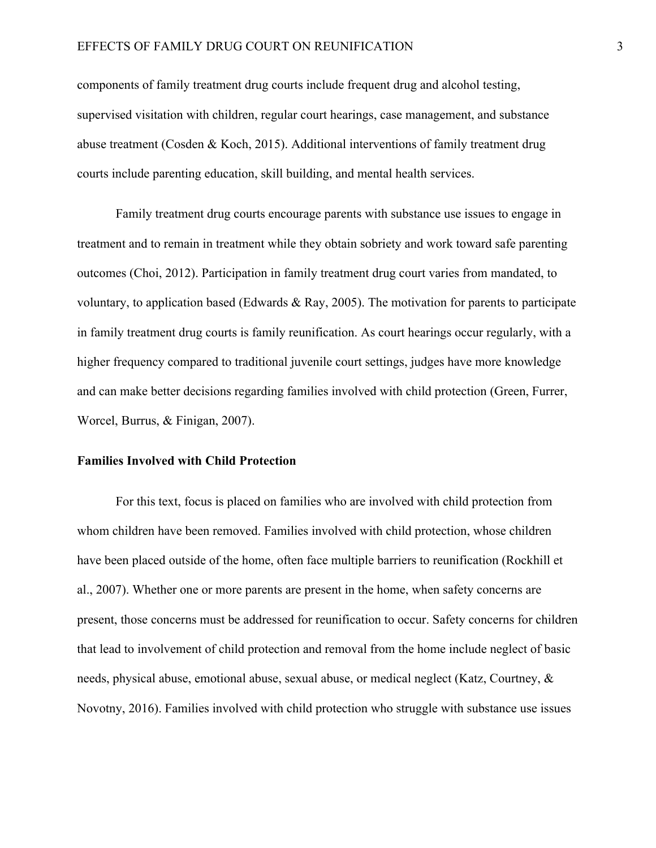#### EFFECTS OF FAMILY DRUG COURT ON REUNIFICATION 3

components of family treatment drug courts include frequent drug and alcohol testing, supervised visitation with children, regular court hearings, case management, and substance abuse treatment (Cosden & Koch, 2015). Additional interventions of family treatment drug courts include parenting education, skill building, and mental health services.

Family treatment drug courts encourage parents with substance use issues to engage in treatment and to remain in treatment while they obtain sobriety and work toward safe parenting outcomes (Choi, 2012). Participation in family treatment drug court varies from mandated, to voluntary, to application based (Edwards & Ray, 2005). The motivation for parents to participate in family treatment drug courts is family reunification. As court hearings occur regularly, with a higher frequency compared to traditional juvenile court settings, judges have more knowledge and can make better decisions regarding families involved with child protection (Green, Furrer, Worcel, Burrus, & Finigan, 2007).

## **Families Involved with Child Protection**

For this text, focus is placed on families who are involved with child protection from whom children have been removed. Families involved with child protection, whose children have been placed outside of the home, often face multiple barriers to reunification (Rockhill et al., 2007). Whether one or more parents are present in the home, when safety concerns are present, those concerns must be addressed for reunification to occur. Safety concerns for children that lead to involvement of child protection and removal from the home include neglect of basic needs, physical abuse, emotional abuse, sexual abuse, or medical neglect (Katz, Courtney, & Novotny, 2016). Families involved with child protection who struggle with substance use issues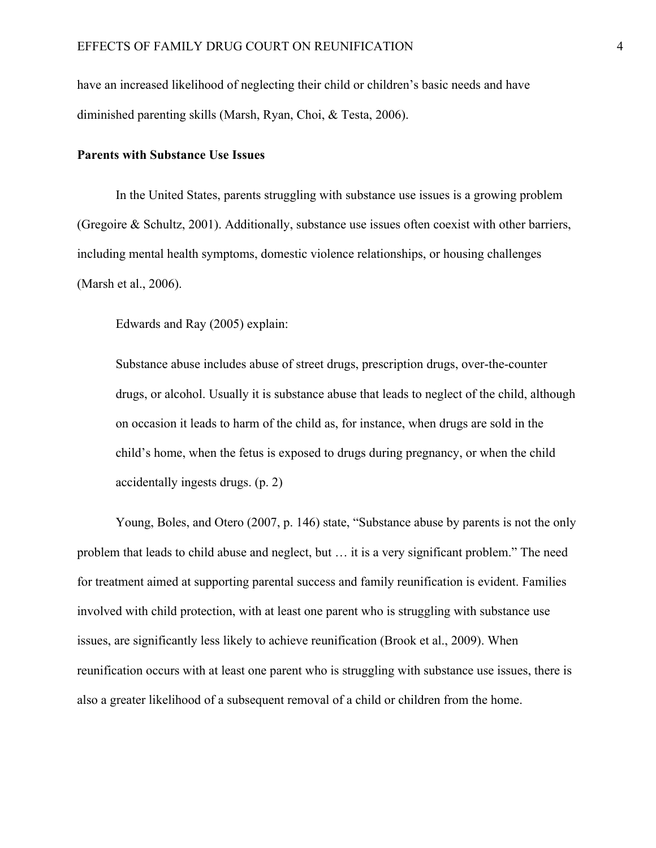have an increased likelihood of neglecting their child or children's basic needs and have diminished parenting skills (Marsh, Ryan, Choi, & Testa, 2006).

#### **Parents with Substance Use Issues**

In the United States, parents struggling with substance use issues is a growing problem (Gregoire & Schultz, 2001). Additionally, substance use issues often coexist with other barriers, including mental health symptoms, domestic violence relationships, or housing challenges (Marsh et al., 2006).

Edwards and Ray (2005) explain:

Substance abuse includes abuse of street drugs, prescription drugs, over-the-counter drugs, or alcohol. Usually it is substance abuse that leads to neglect of the child, although on occasion it leads to harm of the child as, for instance, when drugs are sold in the child's home, when the fetus is exposed to drugs during pregnancy, or when the child accidentally ingests drugs. (p. 2)

Young, Boles, and Otero (2007, p. 146) state, "Substance abuse by parents is not the only problem that leads to child abuse and neglect, but … it is a very significant problem." The need for treatment aimed at supporting parental success and family reunification is evident. Families involved with child protection, with at least one parent who is struggling with substance use issues, are significantly less likely to achieve reunification (Brook et al., 2009). When reunification occurs with at least one parent who is struggling with substance use issues, there is also a greater likelihood of a subsequent removal of a child or children from the home.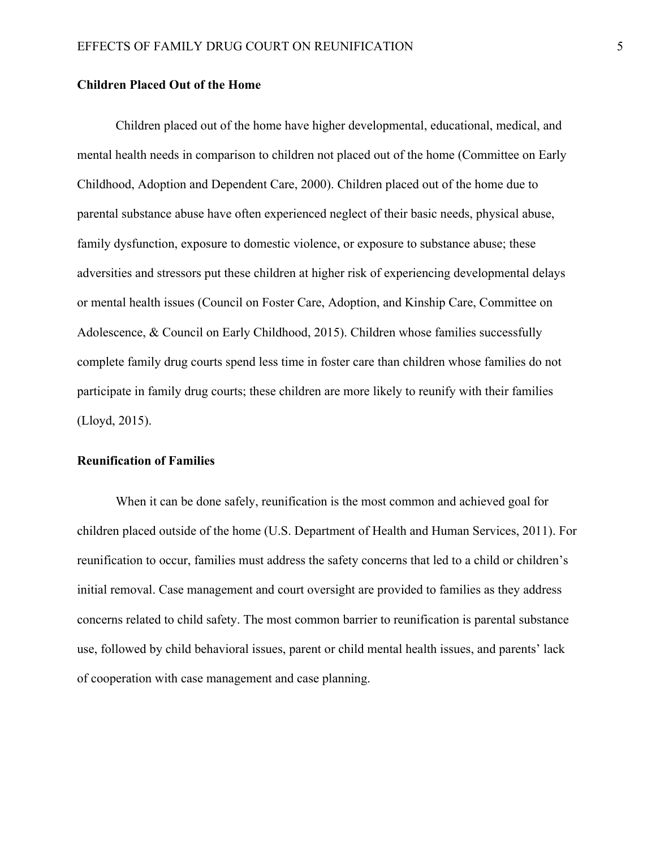#### **Children Placed Out of the Home**

Children placed out of the home have higher developmental, educational, medical, and mental health needs in comparison to children not placed out of the home (Committee on Early Childhood, Adoption and Dependent Care, 2000). Children placed out of the home due to parental substance abuse have often experienced neglect of their basic needs, physical abuse, family dysfunction, exposure to domestic violence, or exposure to substance abuse; these adversities and stressors put these children at higher risk of experiencing developmental delays or mental health issues (Council on Foster Care, Adoption, and Kinship Care, Committee on Adolescence, & Council on Early Childhood, 2015). Children whose families successfully complete family drug courts spend less time in foster care than children whose families do not participate in family drug courts; these children are more likely to reunify with their families (Lloyd, 2015).

#### **Reunification of Families**

When it can be done safely, reunification is the most common and achieved goal for children placed outside of the home (U.S. Department of Health and Human Services, 2011). For reunification to occur, families must address the safety concerns that led to a child or children's initial removal. Case management and court oversight are provided to families as they address concerns related to child safety. The most common barrier to reunification is parental substance use, followed by child behavioral issues, parent or child mental health issues, and parents' lack of cooperation with case management and case planning.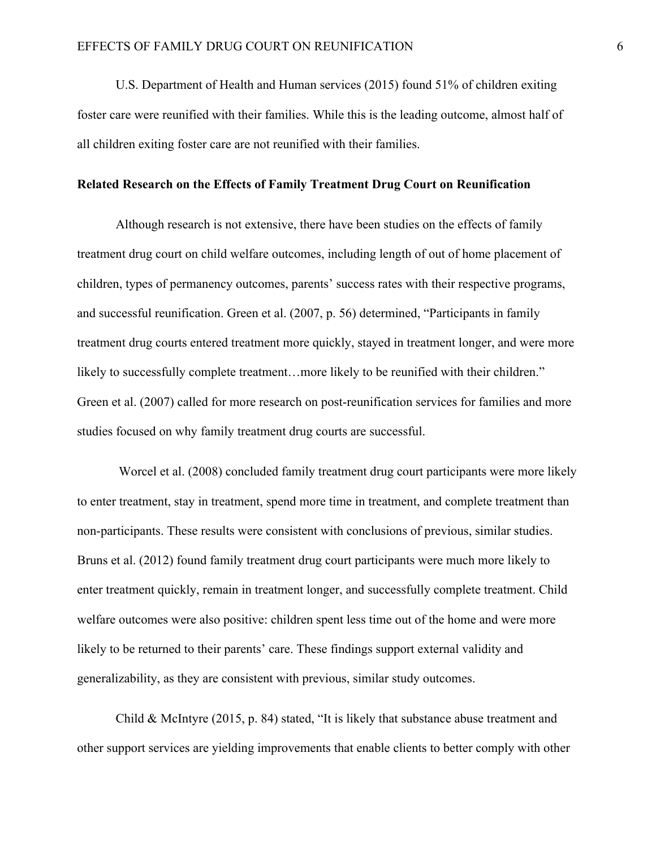U.S. Department of Health and Human services (2015) found 51% of children exiting foster care were reunified with their families. While this is the leading outcome, almost half of all children exiting foster care are not reunified with their families.

#### **Related Research on the Effects of Family Treatment Drug Court on Reunification**

Although research is not extensive, there have been studies on the effects of family treatment drug court on child welfare outcomes, including length of out of home placement of children, types of permanency outcomes, parents' success rates with their respective programs, and successful reunification. Green et al. (2007, p. 56) determined, "Participants in family treatment drug courts entered treatment more quickly, stayed in treatment longer, and were more likely to successfully complete treatment...more likely to be reunified with their children." Green et al. (2007) called for more research on post-reunification services for families and more studies focused on why family treatment drug courts are successful.

Worcel et al. (2008) concluded family treatment drug court participants were more likely to enter treatment, stay in treatment, spend more time in treatment, and complete treatment than non-participants. These results were consistent with conclusions of previous, similar studies. Bruns et al. (2012) found family treatment drug court participants were much more likely to enter treatment quickly, remain in treatment longer, and successfully complete treatment. Child welfare outcomes were also positive: children spent less time out of the home and were more likely to be returned to their parents' care. These findings support external validity and generalizability, as they are consistent with previous, similar study outcomes.

Child & McIntyre (2015, p. 84) stated, "It is likely that substance abuse treatment and other support services are yielding improvements that enable clients to better comply with other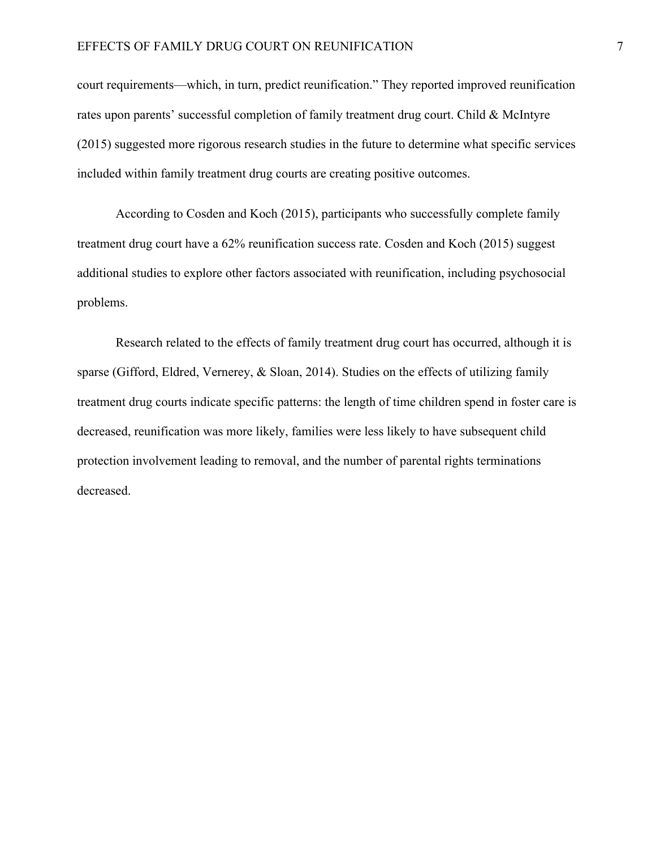#### EFFECTS OF FAMILY DRUG COURT ON REUNIFICATION 7

court requirements—which, in turn, predict reunification." They reported improved reunification rates upon parents' successful completion of family treatment drug court. Child & McIntyre (2015) suggested more rigorous research studies in the future to determine what specific services included within family treatment drug courts are creating positive outcomes.

According to Cosden and Koch (2015), participants who successfully complete family treatment drug court have a 62% reunification success rate. Cosden and Koch (2015) suggest additional studies to explore other factors associated with reunification, including psychosocial problems.

Research related to the effects of family treatment drug court has occurred, although it is sparse (Gifford, Eldred, Vernerey, & Sloan, 2014). Studies on the effects of utilizing family treatment drug courts indicate specific patterns: the length of time children spend in foster care is decreased, reunification was more likely, families were less likely to have subsequent child protection involvement leading to removal, and the number of parental rights terminations decreased.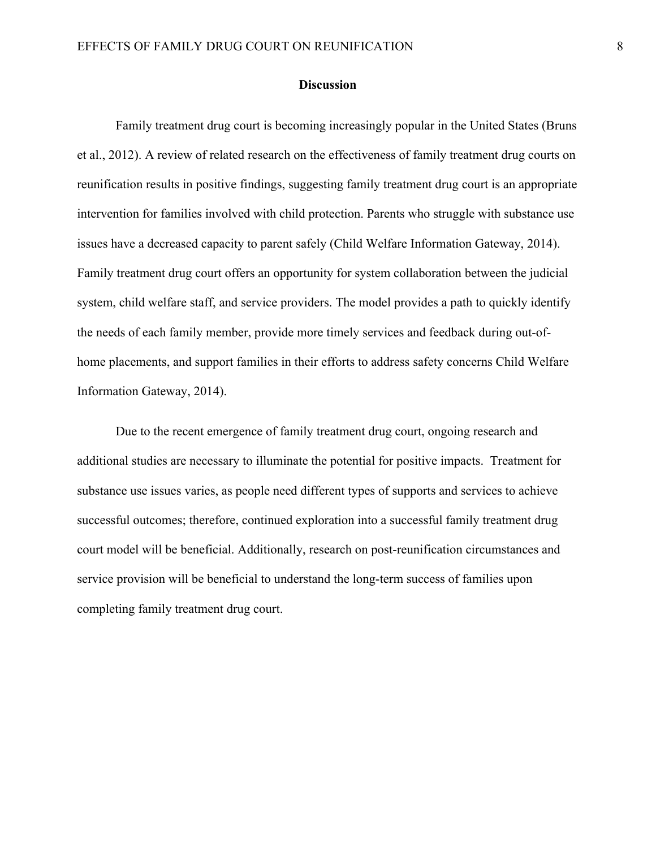#### **Discussion**

Family treatment drug court is becoming increasingly popular in the United States (Bruns et al., 2012). A review of related research on the effectiveness of family treatment drug courts on reunification results in positive findings, suggesting family treatment drug court is an appropriate intervention for families involved with child protection. Parents who struggle with substance use issues have a decreased capacity to parent safely (Child Welfare Information Gateway, 2014). Family treatment drug court offers an opportunity for system collaboration between the judicial system, child welfare staff, and service providers. The model provides a path to quickly identify the needs of each family member, provide more timely services and feedback during out-ofhome placements, and support families in their efforts to address safety concerns Child Welfare Information Gateway, 2014).

Due to the recent emergence of family treatment drug court, ongoing research and additional studies are necessary to illuminate the potential for positive impacts. Treatment for substance use issues varies, as people need different types of supports and services to achieve successful outcomes; therefore, continued exploration into a successful family treatment drug court model will be beneficial. Additionally, research on post-reunification circumstances and service provision will be beneficial to understand the long-term success of families upon completing family treatment drug court.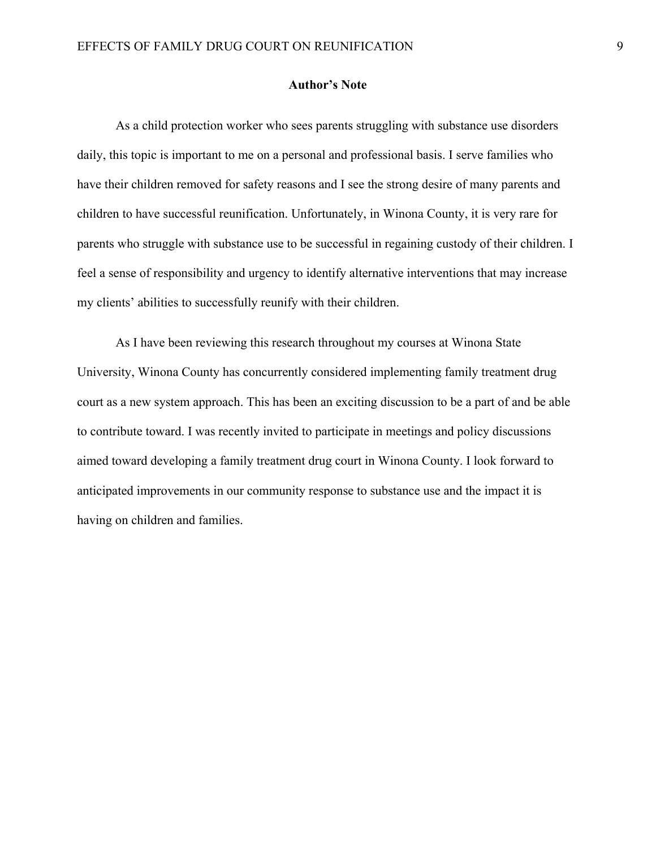#### **Author's Note**

As a child protection worker who sees parents struggling with substance use disorders daily, this topic is important to me on a personal and professional basis. I serve families who have their children removed for safety reasons and I see the strong desire of many parents and children to have successful reunification. Unfortunately, in Winona County, it is very rare for parents who struggle with substance use to be successful in regaining custody of their children. I feel a sense of responsibility and urgency to identify alternative interventions that may increase my clients' abilities to successfully reunify with their children.

As I have been reviewing this research throughout my courses at Winona State University, Winona County has concurrently considered implementing family treatment drug court as a new system approach. This has been an exciting discussion to be a part of and be able to contribute toward. I was recently invited to participate in meetings and policy discussions aimed toward developing a family treatment drug court in Winona County. I look forward to anticipated improvements in our community response to substance use and the impact it is having on children and families.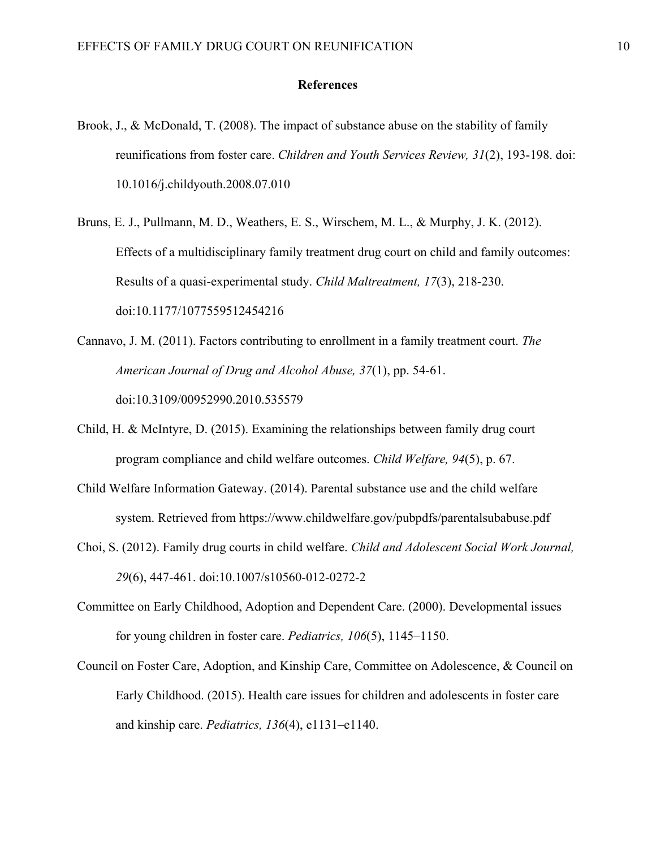#### **References**

- Brook, J., & McDonald, T. (2008). The impact of substance abuse on the stability of family reunifications from foster care. *Children and Youth Services Review, 31*(2), 193-198. doi: 10.1016/j.childyouth.2008.07.010
- Bruns, E. J., Pullmann, M. D., Weathers, E. S., Wirschem, M. L., & Murphy, J. K. (2012). Effects of a multidisciplinary family treatment drug court on child and family outcomes: Results of a quasi-experimental study. *Child Maltreatment, 17*(3), 218-230. doi:10.1177/1077559512454216
- Cannavo, J. M. (2011). Factors contributing to enrollment in a family treatment court. *The American Journal of Drug and Alcohol Abuse, 37*(1), pp. 54-61. doi:10.3109/00952990.2010.535579
- Child, H. & McIntyre, D. (2015). Examining the relationships between family drug court program compliance and child welfare outcomes. *Child Welfare, 94*(5), p. 67.
- Child Welfare Information Gateway. (2014). Parental substance use and the child welfare system. Retrieved from https://www.childwelfare.gov/pubpdfs/parentalsubabuse.pdf
- Choi, S. (2012). Family drug courts in child welfare. *Child and Adolescent Social Work Journal, 29*(6), 447-461. doi:10.1007/s10560-012-0272-2
- Committee on Early Childhood, Adoption and Dependent Care. (2000). Developmental issues for young children in foster care. *Pediatrics, 106*(5), 1145–1150.
- Council on Foster Care, Adoption, and Kinship Care, Committee on Adolescence, & Council on Early Childhood. (2015). Health care issues for children and adolescents in foster care and kinship care. *Pediatrics, 136*(4), e1131–e1140.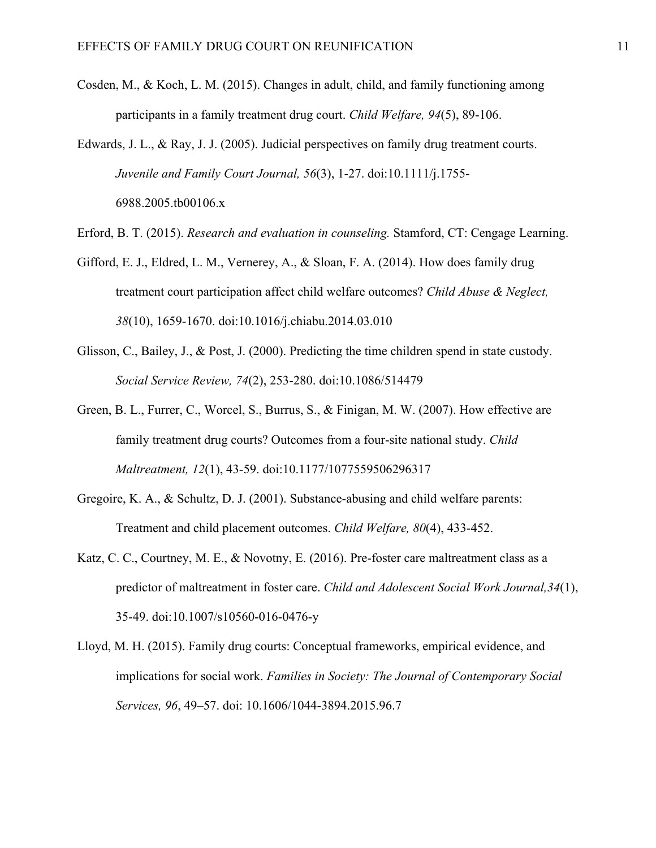- Cosden, M., & Koch, L. M. (2015). Changes in adult, child, and family functioning among participants in a family treatment drug court. *Child Welfare, 94*(5), 89-106.
- Edwards, J. L., & Ray, J. J. (2005). Judicial perspectives on family drug treatment courts. *Juvenile and Family Court Journal, 56*(3), 1-27. doi:10.1111/j.1755- 6988.2005.tb00106.x
- Erford, B. T. (2015). *Research and evaluation in counseling.* Stamford, CT: Cengage Learning.
- Gifford, E. J., Eldred, L. M., Vernerey, A., & Sloan, F. A. (2014). How does family drug treatment court participation affect child welfare outcomes? *Child Abuse & Neglect, 38*(10), 1659-1670. doi:10.1016/j.chiabu.2014.03.010
- Glisson, C., Bailey, J., & Post, J. (2000). Predicting the time children spend in state custody. *Social Service Review, 74*(2), 253-280. doi:10.1086/514479
- Green, B. L., Furrer, C., Worcel, S., Burrus, S., & Finigan, M. W. (2007). How effective are family treatment drug courts? Outcomes from a four-site national study. *Child Maltreatment, 12*(1), 43-59. doi:10.1177/1077559506296317
- Gregoire, K. A., & Schultz, D. J. (2001). Substance-abusing and child welfare parents: Treatment and child placement outcomes. *Child Welfare, 80*(4), 433-452.
- Katz, C. C., Courtney, M. E., & Novotny, E. (2016). Pre-foster care maltreatment class as a predictor of maltreatment in foster care. *Child and Adolescent Social Work Journal,34*(1), 35-49. doi:10.1007/s10560-016-0476-y
- Lloyd, M. H. (2015). Family drug courts: Conceptual frameworks, empirical evidence, and implications for social work. *Families in Society: The Journal of Contemporary Social Services, 96*, 49–57. doi: 10.1606/1044-3894.2015.96.7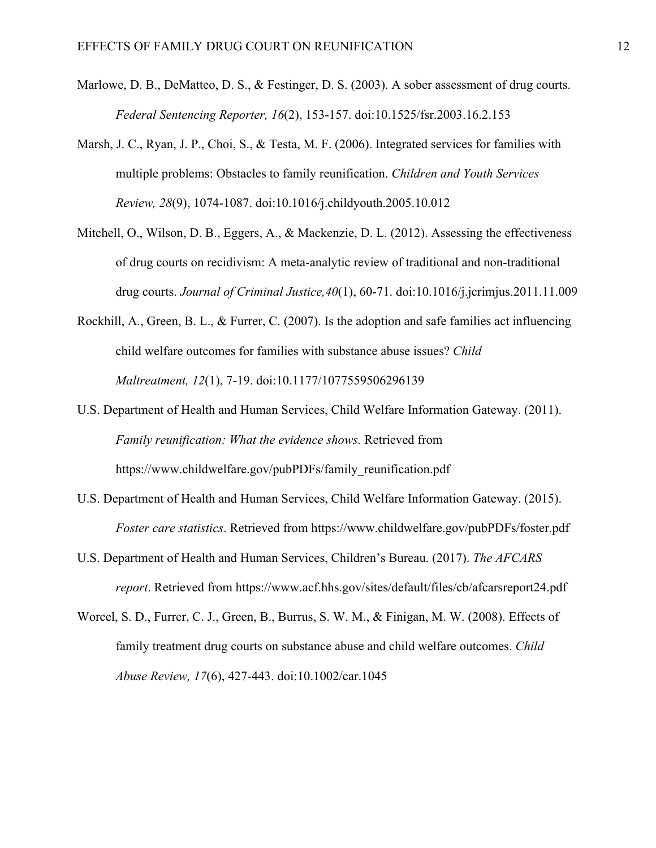- Marlowe, D. B., DeMatteo, D. S., & Festinger, D. S. (2003). A sober assessment of drug courts. *Federal Sentencing Reporter, 16*(2), 153-157. doi:10.1525/fsr.2003.16.2.153
- Marsh, J. C., Ryan, J. P., Choi, S., & Testa, M. F. (2006). Integrated services for families with multiple problems: Obstacles to family reunification. *Children and Youth Services Review, 28*(9), 1074-1087. doi:10.1016/j.childyouth.2005.10.012
- Mitchell, O., Wilson, D. B., Eggers, A., & Mackenzie, D. L. (2012). Assessing the effectiveness of drug courts on recidivism: A meta-analytic review of traditional and non-traditional drug courts. *Journal of Criminal Justice,40*(1), 60-71. doi:10.1016/j.jcrimjus.2011.11.009
- Rockhill, A., Green, B. L., & Furrer, C. (2007). Is the adoption and safe families act influencing child welfare outcomes for families with substance abuse issues? *Child Maltreatment, 12*(1), 7-19. doi:10.1177/1077559506296139
- U.S. Department of Health and Human Services, Child Welfare Information Gateway. (2011). *Family reunification: What the evidence shows.* Retrieved from https://www.childwelfare.gov/pubPDFs/family\_reunification.pdf
- U.S. Department of Health and Human Services, Child Welfare Information Gateway. (2015). *Foster care statistics*. Retrieved from https://www.childwelfare.gov/pubPDFs/foster.pdf
- U.S. Department of Health and Human Services, Children's Bureau. (2017). *The AFCARS report*. Retrieved from https://www.acf.hhs.gov/sites/default/files/cb/afcarsreport24.pdf
- Worcel, S. D., Furrer, C. J., Green, B., Burrus, S. W. M., & Finigan, M. W. (2008). Effects of family treatment drug courts on substance abuse and child welfare outcomes. *Child Abuse Review, 17*(6), 427-443. doi:10.1002/car.1045